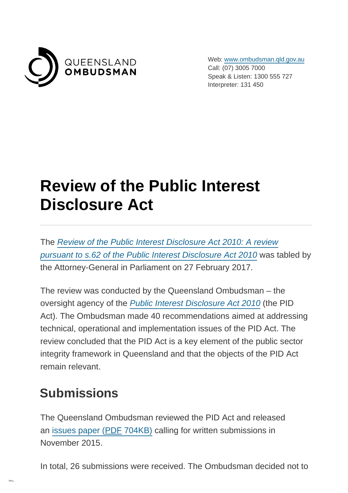

Web: [www.ombudsman.qld.gov.au](https://www.ombudsman.qld.gov.au/) Call: (07) 3005 7000 Speak & Listen: 1300 555 727 Interpreter: 131 450

## **Review of the Public Interest Disclosure Act**

The [Review of the Public Interest Disclosure Act 2010: A review](http://www.parliament.qld.gov.au/documents/tableOffice/TabledPapers/2017/5517T228.pdf) pursuant to s.62 of the Public Interest Disclosure Act 2010 was tabled by the Attorney-General in Parliament on 27 February 2017.

The review was conducted by the Queensland Ombudsman – the oversight agency of the [Public Interest Disclosure Act 2010](https://www.ombudsman.qld.gov.au/what-we-do/role-of-the-ombudsman/legislation-and-standard/legislation-and-standard) (the PID Act). The Ombudsman made 40 recommendations aimed at addressing technical, operational and implementation issues of the PID Act. The review concluded that the PID Act is a key element of the public sector integrity framework in Queensland and that the objects of the PID Act remain relevant.

## **Submissions**

The Queensland Ombudsman reviewed the PID Act and released an [issues paper \(PDF](https://www.ombudsman.qld.gov.au/ArticleDocuments/214/Issues_paper_review_of_the_PID_Act_amended_FINAL_08122015.pdf.aspx) 704KB) calling for written submissions in November 2015.

In total, 26 submissions were received. The Ombudsman decided not to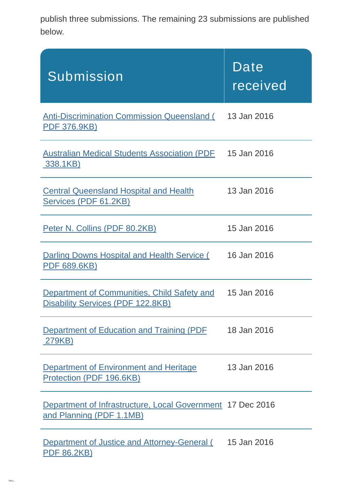publish three submissions. The remaining 23 submissions are published below.

| Submission                                                                                    | Date<br>received |
|-----------------------------------------------------------------------------------------------|------------------|
| <b>Anti-Discrimination Commission Queensland (</b><br><b>PDF 376.9KB)</b>                     | 13 Jan 2016      |
| <b>Australian Medical Students Association (PDF</b><br><u>338.1KB)</u>                        | 15 Jan 2016      |
| <b>Central Queensland Hospital and Health</b><br>Services (PDF 61.2KB)                        | 13 Jan 2016      |
| Peter N. Collins (PDF 80.2KB)                                                                 | 15 Jan 2016      |
| Darling Downs Hospital and Health Service (<br><u>PDF 689.6KB)</u>                            | 16 Jan 2016      |
| Department of Communities, Child Safety and<br><b>Disability Services (PDF 122.8KB)</b>       | 15 Jan 2016      |
| Department of Education and Training (PDF<br>279KB)                                           | 18 Jan 2016      |
| Department of Environment and Heritage<br>Protection (PDF 196.6KB)                            | 13 Jan 2016      |
| <b>Department of Infrastructure, Local Government 17 Dec 2016</b><br>and Planning (PDF 1.1MB) |                  |
| <b>Department of Justice and Attorney-General (</b><br><b>PDF 86.2KB)</b>                     | 15 Jan 2016      |

**COLL**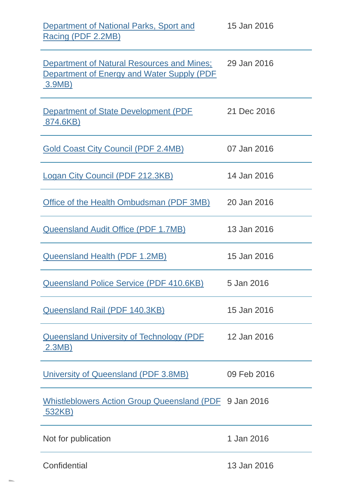| Department of National Parks, Sport and<br>Racing (PDF 2.2MB)                                                                 | 15 Jan 2016 |
|-------------------------------------------------------------------------------------------------------------------------------|-------------|
| <b>Department of Natural Resources and Mines:</b> 29 Jan 2016<br><b>Department of Energy and Water Supply (PDF)</b><br>3.9MB) |             |
| Department of State Development (PDF<br><u>.874.6KB)</u>                                                                      | 21 Dec 2016 |
| <b>Gold Coast City Council (PDF 2.4MB)</b>                                                                                    | 07 Jan 2016 |
| Logan City Council (PDF 212.3KB)                                                                                              | 14 Jan 2016 |
| Office of the Health Ombudsman (PDF 3MB)                                                                                      | 20 Jan 2016 |
| <b>Queensland Audit Office (PDF 1.7MB)</b>                                                                                    | 13 Jan 2016 |
| Queensland Health (PDF 1.2MB)                                                                                                 | 15 Jan 2016 |
| <b>Queensland Police Service (PDF 410.6KB)</b>                                                                                | 5 Jan 2016  |
| <b>Queensland Rail (PDF 140.3KB)</b>                                                                                          | 15 Jan 2016 |
| <b>Queensland University of Technology (PDF</b><br><u>2.3MB)</u>                                                              | 12 Jan 2016 |
| University of Queensland (PDF 3.8MB)                                                                                          | 09 Feb 2016 |
| Whistleblowers Action Group Queensland (PDF 9 Jan 2016<br>532KB)                                                              |             |
| Not for publication                                                                                                           | 1 Jan 2016  |
| Confidential                                                                                                                  | 13 Jan 2016 |

**COLL**